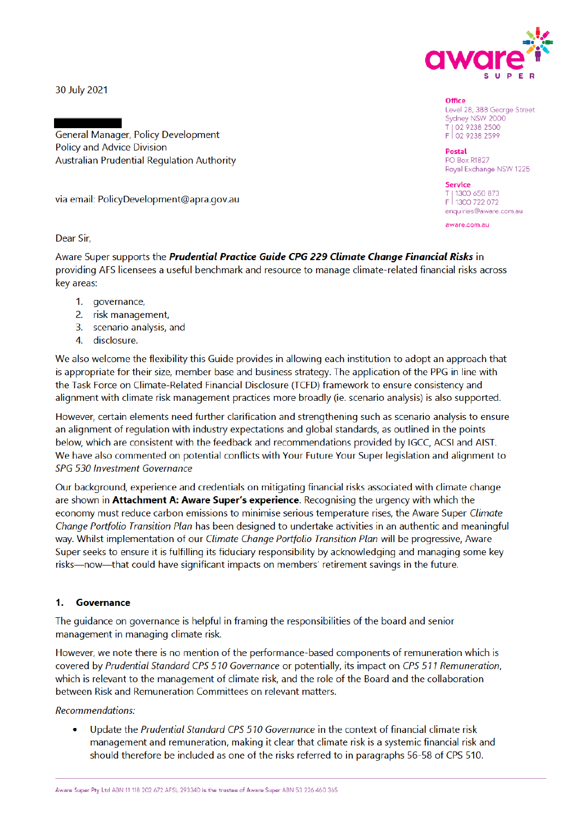

Level 28, 388 George Street Sydney NSW 2000 T| 02 9238 2500<br>F| 02 9238 2599

Royal Exchange NSW 1225

enquiries@aware.com.au

**Office** 

**Postal PO Box R1827** 

Service

T | 1300 650 873<br>F | 1300 722 072

aware.com.au

30 July 2021

General Manager, Policy Development **Policy and Advice Division Australian Prudential Regulation Authority** 

via email: PolicyDevelopment@apra.gov.au

Dear Sir.

Aware Super supports the Prudential Practice Guide CPG 229 Climate Change Financial Risks in providing AFS licensees a useful benchmark and resource to manage climate-related financial risks across kev areas:

- 1. governance,
- 2. risk management,
- 3. scenario analysis, and
- 4. disclosure.

We also welcome the flexibility this Guide provides in allowing each institution to adopt an approach that is appropriate for their size, member base and business strategy. The application of the PPG in line with the Task Force on Climate-Related Financial Disclosure (TCFD) framework to ensure consistency and alignment with climate risk management practices more broadly (ie. scenario analysis) is also supported.

However, certain elements need further clarification and strengthening such as scenario analysis to ensure an alignment of regulation with industry expectations and global standards, as outlined in the points below, which are consistent with the feedback and recommendations provided by IGCC, ACSI and AIST. We have also commented on potential conflicts with Your Future Your Super legislation and alignment to SPG 530 Investment Governance

Our background, experience and credentials on mitigating financial risks associated with climate change are shown in Attachment A: Aware Super's experience. Recognising the urgency with which the economy must reduce carbon emissions to minimise serious temperature rises, the Aware Super Climate Change Portfolio Transition Plan has been designed to undertake activities in an authentic and meaningful way. Whilst implementation of our Climate Change Portfolio Transition Plan will be progressive, Aware Super seeks to ensure it is fulfilling its fiduciary responsibility by acknowledging and managing some key risks—now—that could have significant impacts on members' retirement savings in the future.

#### $\blacksquare$ Governance

The quidance on governance is helpful in framing the responsibilities of the board and senior management in managing climate risk.

However, we note there is no mention of the performance-based components of remuneration which is covered by Prudential Standard CPS 510 Governance or potentially, its impact on CPS 511 Remuneration. which is relevant to the management of climate risk, and the role of the Board and the collaboration between Risk and Remuneration Committees on relevant matters.

**Recommendations:** 

Update the Prudential Standard CPS 510 Governance in the context of financial climate risk management and remuneration, making it clear that climate risk is a systemic financial risk and should therefore be included as one of the risks referred to in paragraphs 56-58 of CPS 510.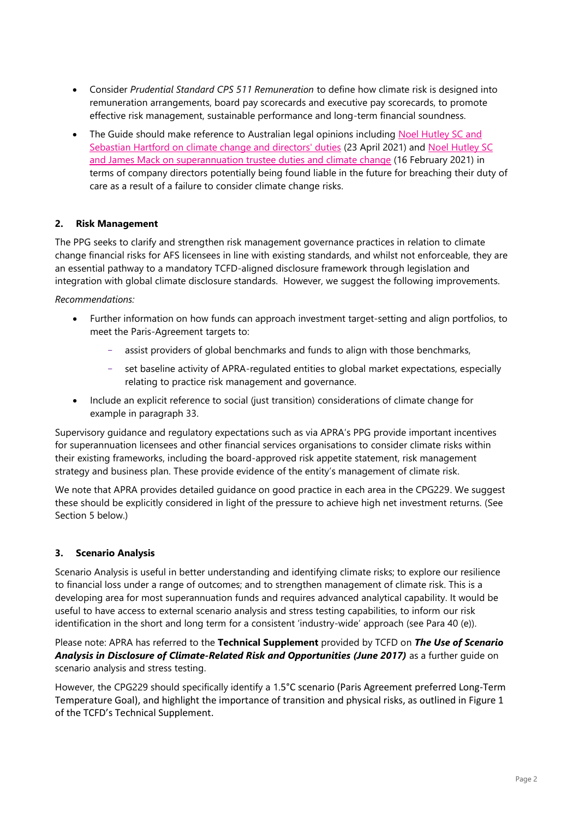- Consider *Prudential Standard CPS 511 Remuneration* to define how climate risk is designed into remuneration arrangements, board pay scorecards and executive pay scorecards, to promote effective risk management, sustainable performance and long-term financial soundness.
- The Guide should make reference to Australian legal opinions including Noel Hutley SC and Sebastian Hartford on climate change and directors' duties (23 April 2021) and Noel Hutley SC and James Mack on superannuation trustee duties and climate change (16 February 2021) in terms of company directors potentially being found liable in the future for breaching their duty of care as a result of a failure to consider climate change risks.

# **2. Risk Management**

The PPG seeks to clarify and strengthen risk management governance practices in relation to climate change financial risks for AFS licensees in line with existing standards, and whilst not enforceable, they are an essential pathway to a mandatory TCFD-aligned disclosure framework through legislation and integration with global climate disclosure standards. However, we suggest the following improvements.

*Recommendations:*

- Further information on how funds can approach investment target-setting and align portfolios, to meet the Paris-Agreement targets to:
	- assist providers of global benchmarks and funds to align with those benchmarks,
	- − set baseline activity of APRA-regulated entities to global market expectations, especially relating to practice risk management and governance.
- Include an explicit reference to social (just transition) considerations of climate change for example in paragraph 33.

Supervisory guidance and regulatory expectations such as via APRA's PPG provide important incentives for superannuation licensees and other financial services organisations to consider climate risks within their existing frameworks, including the board-approved risk appetite statement, risk management strategy and business plan. These provide evidence of the entity's management of climate risk.

We note that APRA provides detailed guidance on good practice in each area in the CPG229. We suggest these should be explicitly considered in light of the pressure to achieve high net investment returns. (See Section 5 below.)

# **3. Scenario Analysis**

Scenario Analysis is useful in better understanding and identifying climate risks; to explore our resilience to financial loss under a range of outcomes; and to strengthen management of climate risk. This is a developing area for most superannuation funds and requires advanced analytical capability. It would be useful to have access to external scenario analysis and stress testing capabilities, to inform our risk identification in the short and long term for a consistent 'industry-wide' approach (see Para 40 (e)).

Please note: APRA has referred to the **Technical Supplement** provided by TCFD on *The Use of Scenario Analysis in Disclosure of Climate-Related Risk and Opportunities (June 2017)* as a further guide on scenario analysis and stress testing.

However, the CPG229 should specifically identify a 1.5°C scenario (Paris Agreement preferred Long-Term Temperature Goal), and highlight the importance of transition and physical risks, as outlined in Figure 1 of the TCFD's Technical Supplement.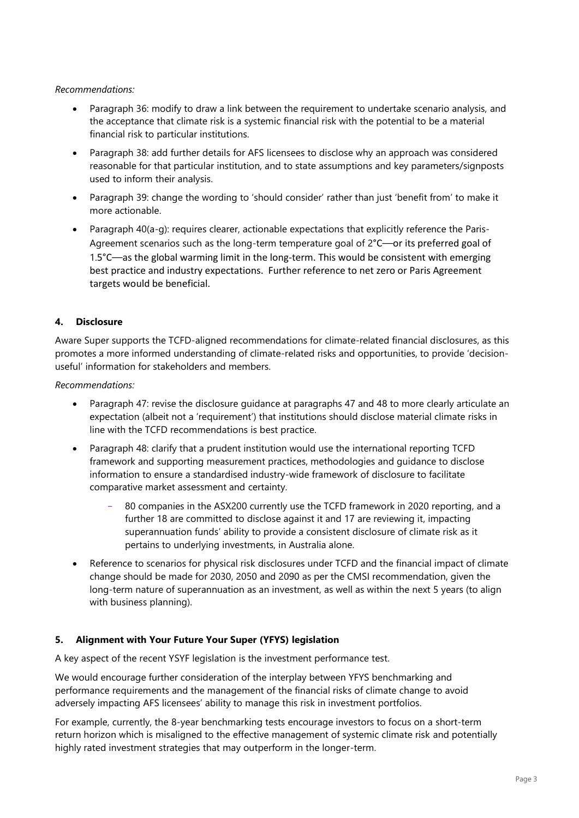#### *Recommendations:*

- Paragraph 36: modify to draw a link between the requirement to undertake scenario analysis, and the acceptance that climate risk is a systemic financial risk with the potential to be a material financial risk to particular institutions.
- Paragraph 38: add further details for AFS licensees to disclose why an approach was considered reasonable for that particular institution, and to state assumptions and key parameters/signposts used to inform their analysis.
- Paragraph 39: change the wording to 'should consider' rather than just 'benefit from' to make it more actionable.
- Paragraph 40(a-g): requires clearer, actionable expectations that explicitly reference the Paris-Agreement scenarios such as the long-term temperature goal of 2°C—or its preferred goal of 1.5°C—as the global warming limit in the long-term. This would be consistent with emerging best practice and industry expectations. Further reference to net zero or Paris Agreement targets would be beneficial.

# **4. Disclosure**

Aware Super supports the TCFD-aligned recommendations for climate-related financial disclosures, as this promotes a more informed understanding of climate-related risks and opportunities, to provide 'decisionuseful' information for stakeholders and members.

*Recommendations:*

- Paragraph 47: revise the disclosure guidance at paragraphs 47 and 48 to more clearly articulate an expectation (albeit not a 'requirement') that institutions should disclose material climate risks in line with the TCFD recommendations is best practice.
- Paragraph 48: clarify that a prudent institution would use the international reporting TCFD framework and supporting measurement practices, methodologies and guidance to disclose information to ensure a standardised industry-wide framework of disclosure to facilitate comparative market assessment and certainty.
	- 80 companies in the ASX200 currently use the TCFD framework in 2020 reporting, and a further 18 are committed to disclose against it and 17 are reviewing it, impacting superannuation funds' ability to provide a consistent disclosure of climate risk as it pertains to underlying investments, in Australia alone.
- Reference to scenarios for physical risk disclosures under TCFD and the financial impact of climate change should be made for 2030, 2050 and 2090 as per the CMSI recommendation, given the long-term nature of superannuation as an investment, as well as within the next 5 years (to align with business planning).

# **5. Alignment with Your Future Your Super (YFYS) legislation**

A key aspect of the recent YSYF legislation is the investment performance test.

We would encourage further consideration of the interplay between YFYS benchmarking and performance requirements and the management of the financial risks of climate change to avoid adversely impacting AFS licensees' ability to manage this risk in investment portfolios.

For example, currently, the 8-year benchmarking tests encourage investors to focus on a short-term return horizon which is misaligned to the effective management of systemic climate risk and potentially highly rated investment strategies that may outperform in the longer-term.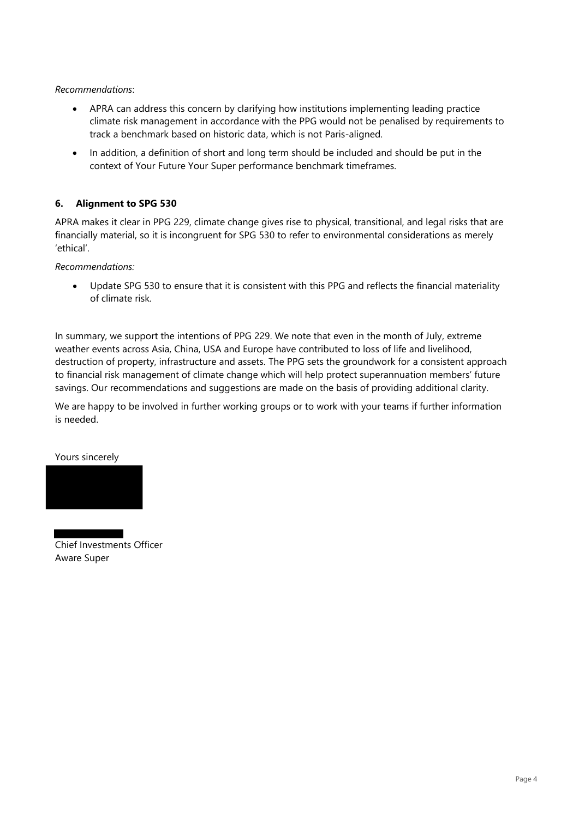*Recommendations*:

- APRA can address this concern by clarifying how institutions implementing leading practice climate risk management in accordance with the PPG would not be penalised by requirements to track a benchmark based on historic data, which is not Paris-aligned.
- In addition, a definition of short and long term should be included and should be put in the context of Your Future Your Super performance benchmark timeframes.

# **6. Alignment to SPG 530**

APRA makes it clear in PPG 229, climate change gives rise to physical, transitional, and legal risks that are financially material, so it is incongruent for SPG 530 to refer to environmental considerations as merely 'ethical'.

*Recommendations:*

• Update SPG 530 to ensure that it is consistent with this PPG and reflects the financial materiality of climate risk.

In summary, we support the intentions of PPG 229. We note that even in the month of July, extreme weather events across Asia, China, USA and Europe have contributed to loss of life and livelihood, destruction of property, infrastructure and assets. The PPG sets the groundwork for a consistent approach to financial risk management of climate change which will help protect superannuation members' future savings. Our recommendations and suggestions are made on the basis of providing additional clarity.

We are happy to be involved in further working groups or to work with your teams if further information is needed.

Yours sincerely



Chief Investments Officer Aware Super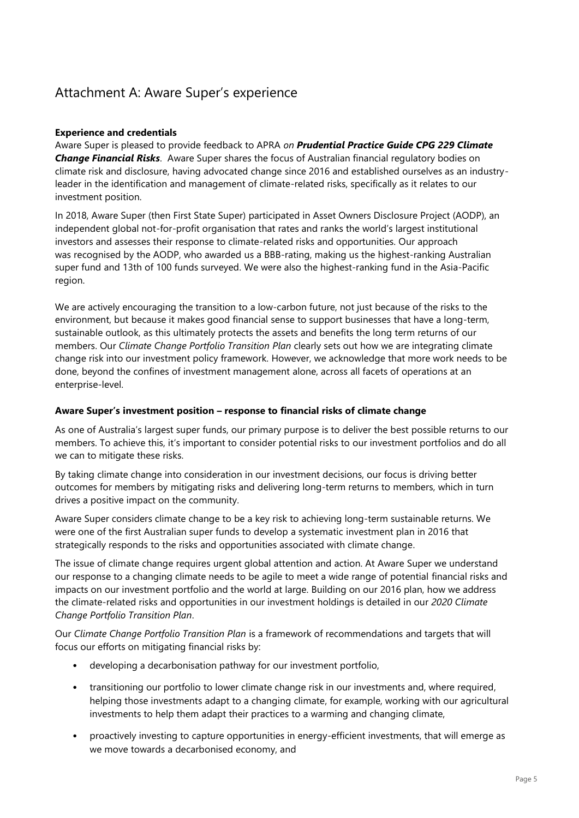# Attachment A: Aware Super's experience

#### **Experience and credentials**

Aware Super is pleased to provide feedback to APRA *on Prudential Practice Guide CPG 229 Climate Change Financial Risks*. Aware Super shares the focus of Australian financial regulatory bodies on climate risk and disclosure, having advocated change since 2016 and established ourselves as an industryleader in the identification and management of climate-related risks, specifically as it relates to our investment position.

In 2018, Aware Super (then First State Super) participated in Asset Owners Disclosure Project (AODP), an independent global not-for-profit organisation that rates and ranks the world's largest institutional investors and assesses their response to climate-related risks and opportunities. Our approach was recognised by the AODP, who awarded us a BBB-rating, making us the highest-ranking Australian super fund and 13th of 100 funds surveyed. We were also the highest-ranking fund in the Asia-Pacific region.

We are actively encouraging the transition to a low-carbon future, not just because of the risks to the environment, but because it makes good financial sense to support businesses that have a long-term, sustainable outlook, as this ultimately protects the assets and benefits the long term returns of our members. Our *Climate Change Portfolio Transition Plan* clearly sets out how we are integrating climate change risk into our investment policy framework. However, we acknowledge that more work needs to be done, beyond the confines of investment management alone, across all facets of operations at an enterprise-level.

#### **Aware Super's investment position – response to financial risks of climate change**

As one of Australia's largest super funds, our primary purpose is to deliver the best possible returns to our members. To achieve this, it's important to consider potential risks to our investment portfolios and do all we can to mitigate these risks.

By taking climate change into consideration in our investment decisions, our focus is driving better outcomes for members by mitigating risks and delivering long-term returns to members, which in turn drives a positive impact on the community.

Aware Super considers climate change to be a key risk to achieving long-term sustainable returns. We were one of the first Australian super funds to develop a systematic investment plan in 2016 that strategically responds to the risks and opportunities associated with climate change.

The issue of climate change requires urgent global attention and action. At Aware Super we understand our response to a changing climate needs to be agile to meet a wide range of potential financial risks and impacts on our investment portfolio and the world at large. Building on our 2016 plan, how we address the climate-related risks and opportunities in our investment holdings is detailed in our *2020 Climate Change Portfolio Transition Plan*.

Our *Climate Change Portfolio Transition Plan* is a framework of recommendations and targets that will focus our efforts on mitigating financial risks by:

- developing a decarbonisation pathway for our investment portfolio,
- transitioning our portfolio to lower climate change risk in our investments and, where required, helping those investments adapt to a changing climate, for example, working with our agricultural investments to help them adapt their practices to a warming and changing climate,
- proactively investing to capture opportunities in energy-efficient investments, that will emerge as we move towards a decarbonised economy, and